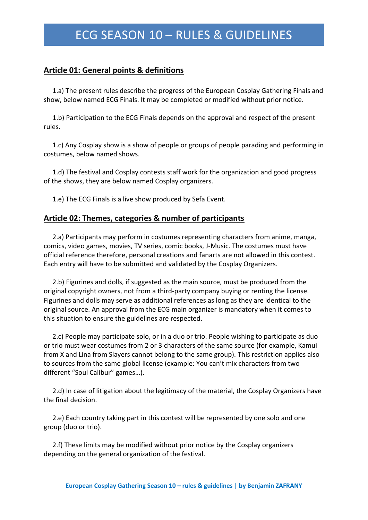### **Article 01: General points & definitions**

1.a) The present rules describe the progress of the European Cosplay Gathering Finals and show, below named ECG Finals. It may be completed or modified without prior notice.

1.b) Participation to the ECG Finals depends on the approval and respect of the present rules.

1.c) Any Cosplay show is a show of people or groups of people parading and performing in costumes, below named shows.

1.d) The festival and Cosplay contests staff work for the organization and good progress of the shows, they are below named Cosplay organizers.

1.e) The ECG Finals is a live show produced by Sefa Event.

#### **Article 02: Themes, categories & number of participants**

2.a) Participants may perform in costumes representing characters from anime, manga, comics, video games, movies, TV series, comic books, J-Music. The costumes must have official reference therefore, personal creations and fanarts are not allowed in this contest. Each entry will have to be submitted and validated by the Cosplay Organizers.

2.b) Figurines and dolls, if suggested as the main source, must be produced from the original copyright owners, not from a third-party company buying or renting the license. Figurines and dolls may serve as additional references as long as they are identical to the original source. An approval from the ECG main organizer is mandatory when it comes to this situation to ensure the guidelines are respected.

2.c) People may participate solo, or in a duo or trio. People wishing to participate as duo or trio must wear costumes from 2 or 3 characters of the same source (for example, Kamui from X and Lina from Slayers cannot belong to the same group). This restriction applies also to sources from the same global license (example: You can't mix characters from two different "Soul Calibur" games…).

2.d) In case of litigation about the legitimacy of the material, the Cosplay Organizers have the final decision.

2.e) Each country taking part in this contest will be represented by one solo and one group (duo or trio).

2.f) These limits may be modified without prior notice by the Cosplay organizers depending on the general organization of the festival.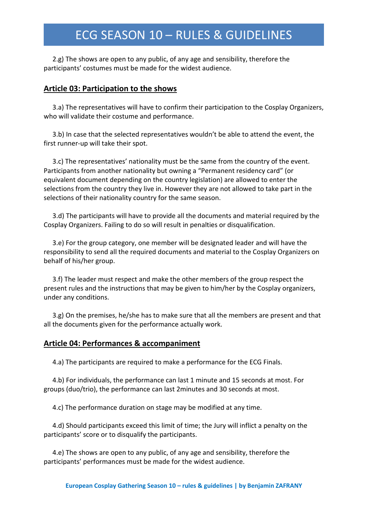2.g) The shows are open to any public, of any age and sensibility, therefore the participants' costumes must be made for the widest audience.

#### **Article 03: Participation to the shows**

3.a) The representatives will have to confirm their participation to the Cosplay Organizers, who will validate their costume and performance.

3.b) In case that the selected representatives wouldn't be able to attend the event, the first runner-up will take their spot.

3.c) The representatives' nationality must be the same from the country of the event. Participants from another nationality but owning a "Permanent residency card" (or equivalent document depending on the country legislation) are allowed to enter the selections from the country they live in. However they are not allowed to take part in the selections of their nationality country for the same season.

3.d) The participants will have to provide all the documents and material required by the Cosplay Organizers. Failing to do so will result in penalties or disqualification.

3.e) For the group category, one member will be designated leader and will have the responsibility to send all the required documents and material to the Cosplay Organizers on behalf of his/her group.

3.f) The leader must respect and make the other members of the group respect the present rules and the instructions that may be given to him/her by the Cosplay organizers, under any conditions.

3.g) On the premises, he/she has to make sure that all the members are present and that all the documents given for the performance actually work.

#### **Article 04: Performances & accompaniment**

4.a) The participants are required to make a performance for the ECG Finals.

4.b) For individuals, the performance can last 1 minute and 15 seconds at most. For groups (duo/trio), the performance can last 2minutes and 30 seconds at most.

4.c) The performance duration on stage may be modified at any time.

4.d) Should participants exceed this limit of time; the Jury will inflict a penalty on the participants' score or to disqualify the participants.

4.e) The shows are open to any public, of any age and sensibility, therefore the participants' performances must be made for the widest audience.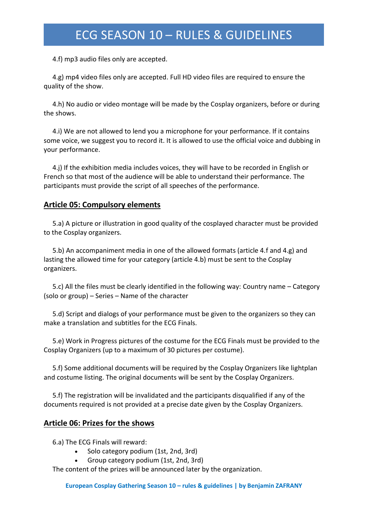4.f) mp3 audio files only are accepted.

4.g) mp4 video files only are accepted. Full HD video files are required to ensure the quality of the show.

4.h) No audio or video montage will be made by the Cosplay organizers, before or during the shows.

4.i) We are not allowed to lend you a microphone for your performance. If it contains some voice, we suggest you to record it. It is allowed to use the official voice and dubbing in your performance.

4.j) If the exhibition media includes voices, they will have to be recorded in English or French so that most of the audience will be able to understand their performance. The participants must provide the script of all speeches of the performance.

## **Article 05: Compulsory elements**

5.a) A picture or illustration in good quality of the cosplayed character must be provided to the Cosplay organizers.

5.b) An accompaniment media in one of the allowed formats (article 4.f and 4.g) and lasting the allowed time for your category (article 4.b) must be sent to the Cosplay organizers.

5.c) All the files must be clearly identified in the following way: Country name – Category (solo or group) – Series – Name of the character

5.d) Script and dialogs of your performance must be given to the organizers so they can make a translation and subtitles for the ECG Finals.

5.e) Work in Progress pictures of the costume for the ECG Finals must be provided to the Cosplay Organizers (up to a maximum of 30 pictures per costume).

5.f) Some additional documents will be required by the Cosplay Organizers like lightplan and costume listing. The original documents will be sent by the Cosplay Organizers.

5.f) The registration will be invalidated and the participants disqualified if any of the documents required is not provided at a precise date given by the Cosplay Organizers.

### **Article 06: Prizes for the shows**

6.a) The ECG Finals will reward:

- Solo category podium (1st, 2nd, 3rd)
- Group category podium (1st, 2nd, 3rd)

The content of the prizes will be announced later by the organization.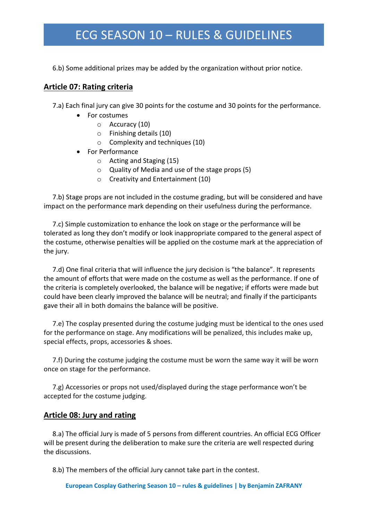6.b) Some additional prizes may be added by the organization without prior notice.

### **Article 07: Rating criteria**

7.a) Each final jury can give 30 points for the costume and 30 points for the performance.

- For costumes
	- o Accuracy (10)
	- o Finishing details (10)
	- o Complexity and techniques (10)
- For Performance
	- o Acting and Staging (15)
	- o Quality of Media and use of the stage props (5)
	- o Creativity and Entertainment (10)

7.b) Stage props are not included in the costume grading, but will be considered and have impact on the performance mark depending on their usefulness during the performance.

7.c) Simple customization to enhance the look on stage or the performance will be tolerated as long they don't modify or look inappropriate compared to the general aspect of the costume, otherwise penalties will be applied on the costume mark at the appreciation of the jury.

7.d) One final criteria that will influence the jury decision is "the balance". It represents the amount of efforts that were made on the costume as well as the performance. If one of the criteria is completely overlooked, the balance will be negative; if efforts were made but could have been clearly improved the balance will be neutral; and finally if the participants gave their all in both domains the balance will be positive.

7.e) The cosplay presented during the costume judging must be identical to the ones used for the performance on stage. Any modifications will be penalized, this includes make up, special effects, props, accessories & shoes.

7.f) During the costume judging the costume must be worn the same way it will be worn once on stage for the performance.

7.g) Accessories or props not used/displayed during the stage performance won't be accepted for the costume judging.

### **Article 08: Jury and rating**

8.a) The official Jury is made of 5 persons from different countries. An official ECG Officer will be present during the deliberation to make sure the criteria are well respected during the discussions.

8.b) The members of the official Jury cannot take part in the contest.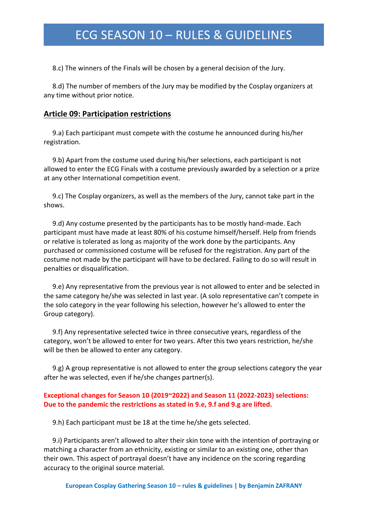8.c) The winners of the Finals will be chosen by a general decision of the Jury.

8.d) The number of members of the Jury may be modified by the Cosplay organizers at any time without prior notice.

#### **Article 09: Participation restrictions**

9.a) Each participant must compete with the costume he announced during his/her registration.

9.b) Apart from the costume used during his/her selections, each participant is not allowed to enter the ECG Finals with a costume previously awarded by a selection or a prize at any other International competition event.

9.c) The Cosplay organizers, as well as the members of the Jury, cannot take part in the shows.

9.d) Any costume presented by the participants has to be mostly hand-made. Each participant must have made at least 80% of his costume himself/herself. Help from friends or relative is tolerated as long as majority of the work done by the participants. Any purchased or commissioned costume will be refused for the registration. Any part of the costume not made by the participant will have to be declared. Failing to do so will result in penalties or disqualification.

9.e) Any representative from the previous year is not allowed to enter and be selected in the same category he/she was selected in last year. (A solo representative can't compete in the solo category in the year following his selection, however he's allowed to enter the Group category).

9.f) Any representative selected twice in three consecutive years, regardless of the category, won't be allowed to enter for two years. After this two years restriction, he/she will be then be allowed to enter any category.

9.g) A group representative is not allowed to enter the group selections category the year after he was selected, even if he/she changes partner(s).

#### **Exceptional changes for Season 10 (2019~2022) and Season 11 (2022-2023) selections: Due to the pandemic the restrictions as stated in 9.e, 9.f and 9.g are lifted.**

9.h) Each participant must be 18 at the time he/she gets selected.

9.i) Participants aren't allowed to alter their skin tone with the intention of portraying or matching a character from an ethnicity, existing or similar to an existing one, other than their own. This aspect of portrayal doesn't have any incidence on the scoring regarding accuracy to the original source material.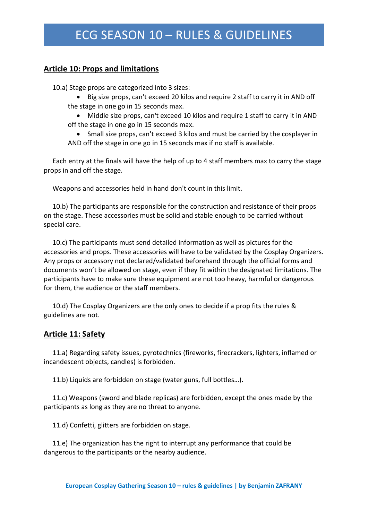### **Article 10: Props and limitations**

10.a) Stage props are categorized into 3 sizes:

- Big size props, can't exceed 20 kilos and require 2 staff to carry it in AND off the stage in one go in 15 seconds max.
- Middle size props, can't exceed 10 kilos and require 1 staff to carry it in AND off the stage in one go in 15 seconds max.
- Small size props, can't exceed 3 kilos and must be carried by the cosplayer in AND off the stage in one go in 15 seconds max if no staff is available.

Each entry at the finals will have the help of up to 4 staff members max to carry the stage props in and off the stage.

Weapons and accessories held in hand don't count in this limit.

10.b) The participants are responsible for the construction and resistance of their props on the stage. These accessories must be solid and stable enough to be carried without special care.

10.c) The participants must send detailed information as well as pictures for the accessories and props. These accessories will have to be validated by the Cosplay Organizers. Any props or accessory not declared/validated beforehand through the official forms and documents won't be allowed on stage, even if they fit within the designated limitations. The participants have to make sure these equipment are not too heavy, harmful or dangerous for them, the audience or the staff members.

10.d) The Cosplay Organizers are the only ones to decide if a prop fits the rules & guidelines are not.

### **Article 11: Safety**

11.a) Regarding safety issues, pyrotechnics (fireworks, firecrackers, lighters, inflamed or incandescent objects, candles) is forbidden.

11.b) Liquids are forbidden on stage (water guns, full bottles…).

11.c) Weapons (sword and blade replicas) are forbidden, except the ones made by the participants as long as they are no threat to anyone.

11.d) Confetti, glitters are forbidden on stage.

11.e) The organization has the right to interrupt any performance that could be dangerous to the participants or the nearby audience.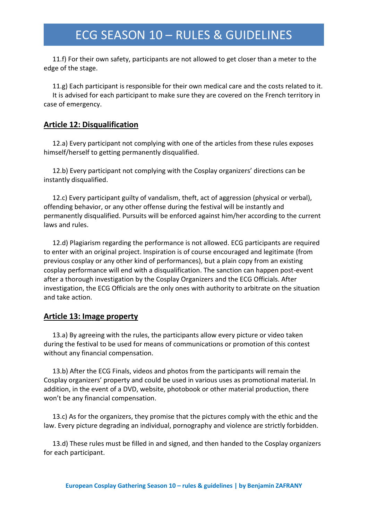11.f) For their own safety, participants are not allowed to get closer than a meter to the edge of the stage.

11.g) Each participant is responsible for their own medical care and the costs related to it. It is advised for each participant to make sure they are covered on the French territory in case of emergency.

### **Article 12: Disqualification**

12.a) Every participant not complying with one of the articles from these rules exposes himself/herself to getting permanently disqualified.

12.b) Every participant not complying with the Cosplay organizers' directions can be instantly disqualified.

12.c) Every participant guilty of vandalism, theft, act of aggression (physical or verbal), offending behavior, or any other offense during the festival will be instantly and permanently disqualified. Pursuits will be enforced against him/her according to the current laws and rules.

12.d) Plagiarism regarding the performance is not allowed. ECG participants are required to enter with an original project. Inspiration is of course encouraged and legitimate (from previous cosplay or any other kind of performances), but a plain copy from an existing cosplay performance will end with a disqualification. The sanction can happen post-event after a thorough investigation by the Cosplay Organizers and the ECG Officials. After investigation, the ECG Officials are the only ones with authority to arbitrate on the situation and take action.

### **Article 13: Image property**

13.a) By agreeing with the rules, the participants allow every picture or video taken during the festival to be used for means of communications or promotion of this contest without any financial compensation.

13.b) After the ECG Finals, videos and photos from the participants will remain the Cosplay organizers' property and could be used in various uses as promotional material. In addition, in the event of a DVD, website, photobook or other material production, there won't be any financial compensation.

13.c) As for the organizers, they promise that the pictures comply with the ethic and the law. Every picture degrading an individual, pornography and violence are strictly forbidden.

13.d) These rules must be filled in and signed, and then handed to the Cosplay organizers for each participant.